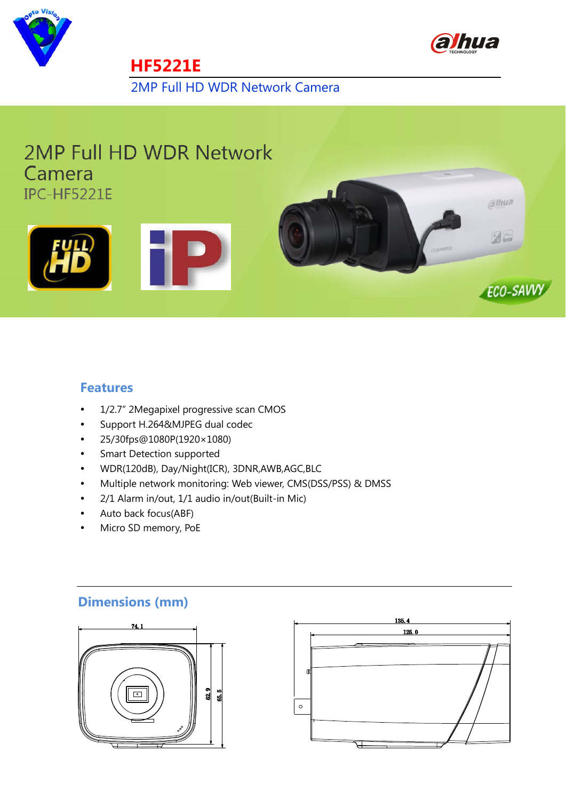



2MP Full HD WDR Network Camera

## **2MP Full HD WDR Network** Camera IPC-HF5221E

**HF5221E** 







#### **Features**

- 1/2.7" 2Megapixel progressive scan CMOS
- Support H.264&MJPEG dual codec
- 25/30fps@1080P(1920× 1080)
- Smart Detection supported
- WDR(120dB), Day/Night(ICR), 3DNR,AWB,AGC,BLC
- Multiple network monitoring: Web viewer, CMS(DSS/PSS) & DMSS
- 2/1 Alarm in/out, 1/1 audio in/out(Built-in Mic)
- Auto back focus(ABF)
- Micro SD memory, PoE

### **Dimensions (mm)**



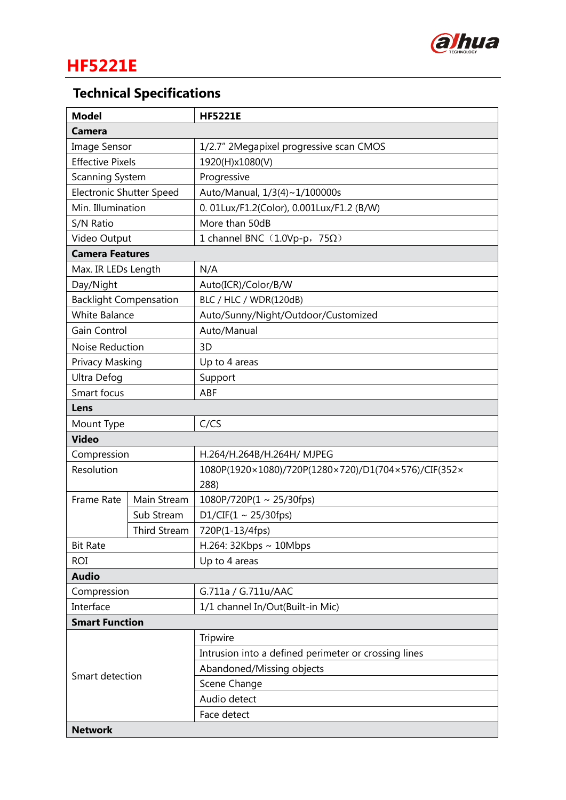

# **HF5221E**

# **Technical Specifications**

| <b>Model</b>                    |              | <b>HF5221E</b>                                       |  |  |
|---------------------------------|--------------|------------------------------------------------------|--|--|
| <b>Camera</b>                   |              |                                                      |  |  |
| Image Sensor                    |              | 1/2.7" 2Megapixel progressive scan CMOS              |  |  |
| <b>Effective Pixels</b>         |              | 1920(H)x1080(V)                                      |  |  |
| Scanning System                 |              | Progressive                                          |  |  |
| <b>Electronic Shutter Speed</b> |              | Auto/Manual, 1/3(4)~1/100000s                        |  |  |
| Min. Illumination               |              | 0. 01Lux/F1.2(Color), 0.001Lux/F1.2 (B/W)            |  |  |
| S/N Ratio                       |              | More than 50dB                                       |  |  |
| Video Output                    |              | 1 channel BNC $(1.0Vp-p, 75\Omega)$                  |  |  |
| <b>Camera Features</b>          |              |                                                      |  |  |
| Max. IR LEDs Length             |              | N/A                                                  |  |  |
| Day/Night                       |              | Auto(ICR)/Color/B/W                                  |  |  |
| <b>Backlight Compensation</b>   |              | BLC / HLC / WDR(120dB)                               |  |  |
| <b>White Balance</b>            |              | Auto/Sunny/Night/Outdoor/Customized                  |  |  |
| Gain Control                    |              | Auto/Manual                                          |  |  |
| Noise Reduction                 |              | 3D                                                   |  |  |
| Privacy Masking                 |              | Up to 4 areas                                        |  |  |
| Ultra Defog                     |              | Support                                              |  |  |
| Smart focus                     |              | ABF                                                  |  |  |
| Lens                            |              |                                                      |  |  |
| Mount Type                      |              | C/CS                                                 |  |  |
| <b>Video</b>                    |              |                                                      |  |  |
| Compression                     |              | H.264/H.264B/H.264H/ MJPEG                           |  |  |
| Resolution                      |              | 1080P(1920×1080)/720P(1280×720)/D1(704×576)/CIF(352× |  |  |
|                                 |              | 288)                                                 |  |  |
| <b>Frame Rate</b>               | Main Stream  | 1080P/720P(1 ~ 25/30fps)                             |  |  |
|                                 | Sub Stream   | D1/CIF(1 ~ 25/30fps)                                 |  |  |
|                                 | Third Stream | 720P(1-13/4fps)                                      |  |  |
| <b>Bit Rate</b>                 |              | H.264: 32Kbps $\sim$ 10Mbps                          |  |  |
| <b>ROI</b>                      |              | Up to 4 areas                                        |  |  |
| <b>Audio</b>                    |              |                                                      |  |  |
| Compression                     |              | G.711a / G.711u/AAC                                  |  |  |
| Interface                       |              | 1/1 channel In/Out(Built-in Mic)                     |  |  |
| <b>Smart Function</b>           |              |                                                      |  |  |
| Smart detection                 |              | Tripwire                                             |  |  |
|                                 |              | Intrusion into a defined perimeter or crossing lines |  |  |
|                                 |              | Abandoned/Missing objects                            |  |  |
|                                 |              | Scene Change                                         |  |  |
|                                 |              | Audio detect                                         |  |  |
|                                 |              | Face detect                                          |  |  |
| <b>Network</b>                  |              |                                                      |  |  |